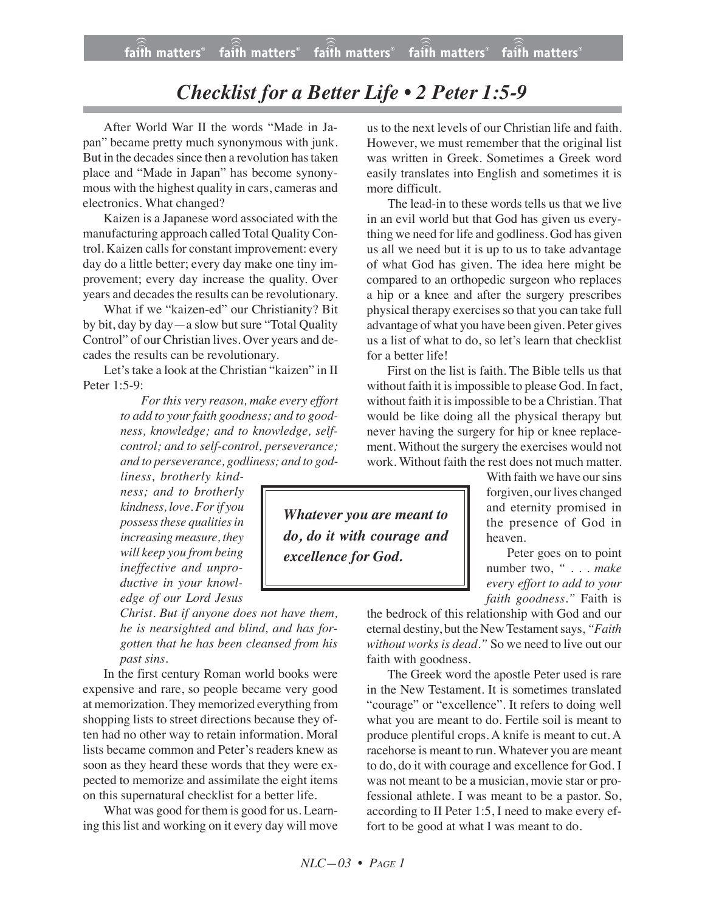## *Checklist for a Better Life • 2 Peter 1:5-9*

After World War II the words "Made in Japan" became pretty much synonymous with junk. But in the decades since then a revolution has taken place and "Made in Japan" has become synonymous with the highest quality in cars, cameras and electronics. What changed?

Kaizen is a Japanese word associated with the manufacturing approach called Total Quality Control. Kaizen calls for constant improvement: every day do a little better; every day make one tiny improvement; every day increase the quality. Over years and decades the results can be revolutionary.

What if we "kaizen-ed" our Christianity? Bit by bit, day by day—a slow but sure "Total Quality Control" of our Christian lives. Over years and decades the results can be revolutionary.

Let's take a look at the Christian "kaizen" in II Peter 1:5-9:

> *For this very reason, make every effort to add to your faith goodness; and to goodness, knowledge; and to knowledge, selfcontrol; and to self-control, perseverance; and to perseverance, godliness; and to god-*

*liness, brotherly kindness; and to brotherly kindness, love. Forif you possess these qualities in increasing measure, they will keep you from being ineffective and unproductive in your knowledge of our Lord Jesus*

*Christ. But if anyone does not have them, he is nearsighted and blind, and has forgotten that he has been cleansed from his past sins.*

In the first century Roman world books were expensive and rare, so people became very good at memorization.They memorized everything from shopping lists to street directions because they often had no other way to retain information. Moral lists became common and Peter's readers knew as soon as they heard these words that they were expected to memorize and assimilate the eight items on this supernatural checklist for a better life.

What was good for them is good for us. Learning this list and working on it every day will move us to the next levels of our Christian life and faith. However, we must remember that the original list was written in Greek. Sometimes a Greek word easily translates into English and sometimes it is more difficult.

The lead-in to these words tells us that we live in an evil world but that God has given us everything we need for life and godliness. God has given us all we need but it is up to us to take advantage of what God has given. The idea here might be compared to an orthopedic surgeon who replaces a hip or a knee and after the surgery prescribes physical therapy exercises so that you can take full advantage of what you have been given. Peter gives us a list of what to do, so let's learn that checklist for a better life!

First on the list is faith. The Bible tells us that without faith it is impossible to please God. In fact, without faith it is impossible to be a Christian. That would be like doing all the physical therapy but never having the surgery for hip or knee replacement. Without the surgery the exercises would not work. Without faith the rest does not much matter.

> With faith we have our sins forgiven, our lives changed and eternity promised in the presence of God in heaven.

> Peter goes on to point number two, *" . . . make every effort to add to your faith goodness."* Faith is

the bedrock of this relationship with God and our eternal destiny, but the New Testament says, *"Faith without works is dead."* So we need to live out our faith with goodness.

The Greek word the apostle Peter used is rare in the New Testament. It is sometimes translated "courage" or "excellence". It refers to doing well what you are meant to do. Fertile soil is meant to produce plentiful crops. A knife is meant to cut. A racehorse is meant to run. Whatever you are meant to do, do it with courage and excellence for God. I was not meant to be a musician, movie star or professional athlete. I was meant to be a pastor. So, according to II Peter 1:5, I need to make every effort to be good at what I was meant to do.

*Whatever you are meant to do, do it with courage and excellence for God.*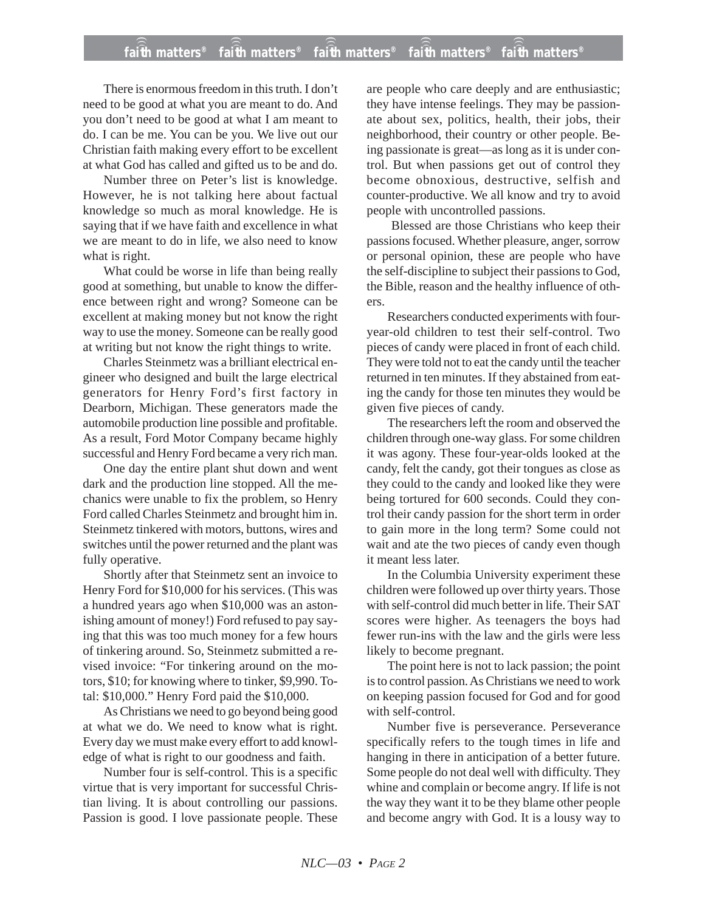## **faith matters® faith matters® faith matters® faith matters® faith matters®** ))) ))) ))) ))) )))

There is enormous freedom in this truth. I don't need to be good at what you are meant to do. And you don't need to be good at what I am meant to do. I can be me. You can be you. We live out our Christian faith making every effort to be excellent at what God has called and gifted us to be and do.

Number three on Peter's list is knowledge. However, he is not talking here about factual knowledge so much as moral knowledge. He is saying that if we have faith and excellence in what we are meant to do in life, we also need to know what is right.

What could be worse in life than being really good at something, but unable to know the difference between right and wrong? Someone can be excellent at making money but not know the right way to use the money. Someone can be really good at writing but not know the right things to write.

Charles Steinmetz was a brilliant electrical engineer who designed and built the large electrical generators for Henry Ford's first factory in Dearborn, Michigan. These generators made the automobile production line possible and profitable. As a result, Ford Motor Company became highly successful and Henry Ford became a very rich man.

One day the entire plant shut down and went dark and the production line stopped. All the mechanics were unable to fix the problem, so Henry Ford called Charles Steinmetz and brought him in. Steinmetz tinkered with motors, buttons, wires and switches until the power returned and the plant was fully operative.

Shortly after that Steinmetz sent an invoice to Henry Ford for \$10,000 for his services. (This was a hundred years ago when \$10,000 was an astonishing amount of money!) Ford refused to pay saying that this was too much money for a few hours of tinkering around. So, Steinmetz submitted a revised invoice: "For tinkering around on the motors, \$10; for knowing where to tinker, \$9,990. Total: \$10,000." Henry Ford paid the \$10,000.

As Christians we need to go beyond being good at what we do. We need to know what is right. Every day we must make every effort to add knowledge of what is right to our goodness and faith.

Number four is self-control. This is a specific virtue that is very important for successful Christian living. It is about controlling our passions. Passion is good. I love passionate people. These are people who care deeply and are enthusiastic; they have intense feelings. They may be passionate about sex, politics, health, their jobs, their neighborhood, their country or other people. Being passionate is great—as long as it is under control. But when passions get out of control they become obnoxious, destructive, selfish and counter-productive. We all know and try to avoid people with uncontrolled passions.

Blessed are those Christians who keep their passions focused. Whether pleasure, anger, sorrow or personal opinion, these are people who have the self-discipline to subject their passions to God, the Bible, reason and the healthy influence of others.

Researchers conducted experiments with fouryear-old children to test their self-control. Two pieces of candy were placed in front of each child. They were told not to eat the candy until the teacher returned in ten minutes. If they abstained from eating the candy for those ten minutes they would be given five pieces of candy.

The researchers left the room and observed the children through one-way glass. For some children it was agony. These four-year-olds looked at the candy, felt the candy, got their tongues as close as they could to the candy and looked like they were being tortured for 600 seconds. Could they control their candy passion for the short term in order to gain more in the long term? Some could not wait and ate the two pieces of candy even though it meant less later.

In the Columbia University experiment these children were followed up over thirty years. Those with self-control did much better in life. Their SAT scores were higher. As teenagers the boys had fewer run-ins with the law and the girls were less likely to become pregnant.

The point here is not to lack passion; the point is to control passion. As Christians we need to work on keeping passion focused for God and for good with self-control.

Number five is perseverance. Perseverance specifically refers to the tough times in life and hanging in there in anticipation of a better future. Some people do not deal well with difficulty. They whine and complain or become angry. If life is not the way they want it to be they blame other people and become angry with God. It is a lousy way to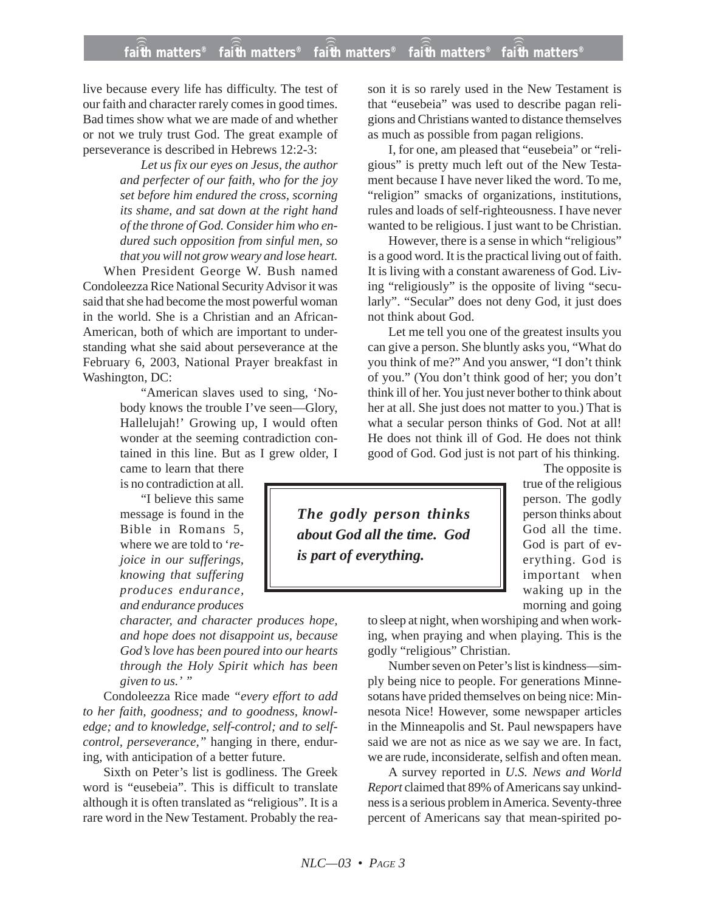live because every life has difficulty. The test of our faith and character rarely comes in good times. Bad times show what we are made of and whether or not we truly trust God. The great example of perseverance is described in Hebrews 12:2-3:

> *Let us fix our eyes on Jesus, the author and perfecter of our faith, who for the joy set before him endured the cross, scorning its shame, and sat down at the right hand of the throne of God. Consider him who endured such opposition from sinful men, so that you will not grow weary and lose heart.*

When President George W. Bush named Condoleezza Rice National Security Advisor it was said that she had become the most powerful woman in the world. She is a Christian and an African-American, both of which are important to understanding what she said about perseverance at the February 6, 2003, National Prayer breakfast in Washington, DC:

> "American slaves used to sing, 'Nobody knows the trouble I've seen—Glory, Hallelujah!' Growing up, I would often wonder at the seeming contradiction contained in this line. But as I grew older, I came to learn that there

is no contradiction at all.

"I believe this same message is found in the Bible in Romans 5, where we are told to '*rejoice in our sufferings, knowing that suffering produces endurance, and endurance produces*

*character, and character produces hope, and hope does not disappoint us, because God's love has been poured into our hearts through the Holy Spirit which has been given to us.' "*

Condoleezza Rice made *"every effort to add to her faith, goodness; and to goodness, knowledge; and to knowledge, self-control; and to selfcontrol, perseverance,"* hanging in there, enduring, with anticipation of a better future.

Sixth on Peter's list is godliness. The Greek word is "eusebeia". This is difficult to translate although it is often translated as "religious". It is a rare word in the New Testament. Probably the reason it is so rarely used in the New Testament is that "eusebeia" was used to describe pagan religions and Christians wanted to distance themselves as much as possible from pagan religions.

I, for one, am pleased that "eusebeia" or "religious" is pretty much left out of the New Testament because I have never liked the word. To me, "religion" smacks of organizations, institutions, rules and loads of self-righteousness. I have never wanted to be religious. I just want to be Christian.

However, there is a sense in which "religious" is a good word. It is the practical living out of faith. It is living with a constant awareness of God. Living "religiously" is the opposite of living "secularly". "Secular" does not deny God, it just does not think about God.

Let me tell you one of the greatest insults you can give a person. She bluntly asks you, "What do you think of me?" And you answer, "I don't think of you." (You don't think good of her; you don't think ill of her. You just never bother to think about her at all. She just does not matter to you.) That is what a secular person thinks of God. Not at all! He does not think ill of God. He does not think good of God. God just is not part of his thinking.

> The opposite is true of the religious person. The godly person thinks about God all the time. God is part of everything. God is important when waking up in the morning and going

to sleep at night, when worshiping and when work-

ing, when praying and when playing. This is the godly "religious" Christian.

Number seven on Peter's list is kindness—simply being nice to people. For generations Minnesotans have prided themselves on being nice: Minnesota Nice! However, some newspaper articles in the Minneapolis and St. Paul newspapers have said we are not as nice as we say we are. In fact, we are rude, inconsiderate, selfish and often mean.

A survey reported in *U.S. News and World Report* claimed that 89% of Americans say unkindness is a serious problem in America. Seventy-three percent of Americans say that mean-spirited po-

*The godly person thinks about God all the time. God*

*is part of everything.*